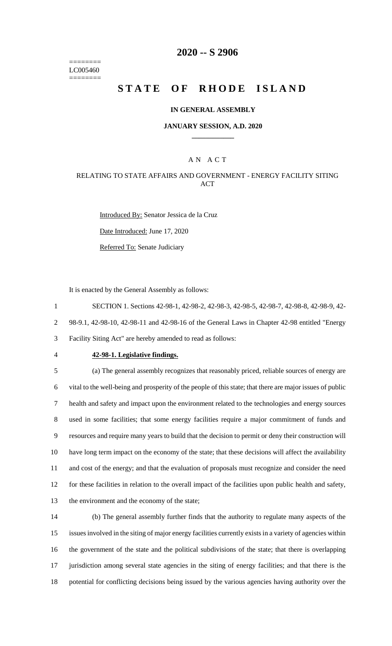======== LC005460 ========

### **2020 -- S 2906**

# **STATE OF RHODE ISLAND**

#### **IN GENERAL ASSEMBLY**

#### **JANUARY SESSION, A.D. 2020 \_\_\_\_\_\_\_\_\_\_\_\_**

### A N A C T

### RELATING TO STATE AFFAIRS AND GOVERNMENT - ENERGY FACILITY SITING **ACT**

Introduced By: Senator Jessica de la Cruz Date Introduced: June 17, 2020 Referred To: Senate Judiciary

It is enacted by the General Assembly as follows:

1 SECTION 1. Sections 42-98-1, 42-98-2, 42-98-3, 42-98-5, 42-98-7, 42-98-8, 42-98-9, 42-

2 98-9.1, 42-98-10, 42-98-11 and 42-98-16 of the General Laws in Chapter 42-98 entitled "Energy

3 Facility Siting Act" are hereby amended to read as follows:

#### 4 **42-98-1. Legislative findings.**

 (a) The general assembly recognizes that reasonably priced, reliable sources of energy are vital to the well-being and prosperity of the people of this state; that there are major issues of public health and safety and impact upon the environment related to the technologies and energy sources used in some facilities; that some energy facilities require a major commitment of funds and resources and require many years to build that the decision to permit or deny their construction will have long term impact on the economy of the state; that these decisions will affect the availability and cost of the energy; and that the evaluation of proposals must recognize and consider the need for these facilities in relation to the overall impact of the facilities upon public health and safety, the environment and the economy of the state;

 (b) The general assembly further finds that the authority to regulate many aspects of the issues involved in the siting of major energy facilities currently exists in a variety of agencies within the government of the state and the political subdivisions of the state; that there is overlapping jurisdiction among several state agencies in the siting of energy facilities; and that there is the potential for conflicting decisions being issued by the various agencies having authority over the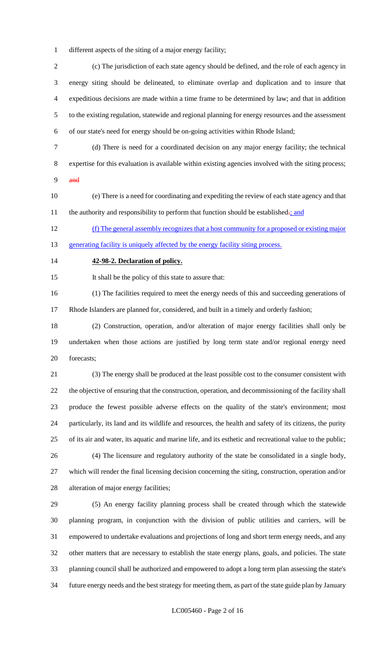different aspects of the siting of a major energy facility;

 (c) The jurisdiction of each state agency should be defined, and the role of each agency in energy siting should be delineated, to eliminate overlap and duplication and to insure that expeditious decisions are made within a time frame to be determined by law; and that in addition to the existing regulation, statewide and regional planning for energy resources and the assessment of our state's need for energy should be on-going activities within Rhode Island;

(d) There is need for a coordinated decision on any major energy facility; the technical

expertise for this evaluation is available within existing agencies involved with the siting process;

- $9 \quad \text{and}$
- (e) There is a need for coordinating and expediting the review of each state agency and that 11 the authority and responsibility to perform that function should be established.<sup>5</sup> and

 (f) The general assembly recognizes that a host community for a proposed or existing major 13 generating facility is uniquely affected by the energy facility siting process.

### **42-98-2. Declaration of policy.**

It shall be the policy of this state to assure that:

(1) The facilities required to meet the energy needs of this and succeeding generations of

Rhode Islanders are planned for, considered, and built in a timely and orderly fashion;

 (2) Construction, operation, and/or alteration of major energy facilities shall only be undertaken when those actions are justified by long term state and/or regional energy need forecasts;

 (3) The energy shall be produced at the least possible cost to the consumer consistent with the objective of ensuring that the construction, operation, and decommissioning of the facility shall produce the fewest possible adverse effects on the quality of the state's environment; most particularly, its land and its wildlife and resources, the health and safety of its citizens, the purity of its air and water, its aquatic and marine life, and its esthetic and recreational value to the public; (4) The licensure and regulatory authority of the state be consolidated in a single body,

 which will render the final licensing decision concerning the siting, construction, operation and/or alteration of major energy facilities;

 (5) An energy facility planning process shall be created through which the statewide planning program, in conjunction with the division of public utilities and carriers, will be empowered to undertake evaluations and projections of long and short term energy needs, and any other matters that are necessary to establish the state energy plans, goals, and policies. The state planning council shall be authorized and empowered to adopt a long term plan assessing the state's future energy needs and the best strategy for meeting them, as part of the state guide plan by January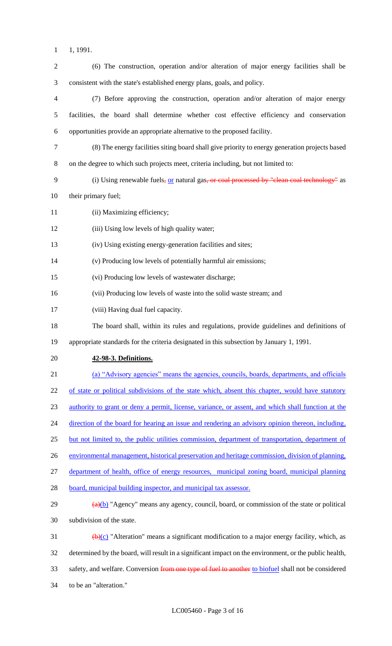- 1, 1991.
- (6) The construction, operation and/or alteration of major energy facilities shall be consistent with the state's established energy plans, goals, and policy. (7) Before approving the construction, operation and/or alteration of major energy facilities, the board shall determine whether cost effective efficiency and conservation opportunities provide an appropriate alternative to the proposed facility. (8) The energy facilities siting board shall give priority to energy generation projects based on the degree to which such projects meet, criteria including, but not limited to: 9 (i) Using renewable fuels, or natural gas, or coal processed by "clean coal technology" as their primary fuel; 11 (ii) Maximizing efficiency; (iii) Using low levels of high quality water; (iv) Using existing energy-generation facilities and sites; (v) Producing low levels of potentially harmful air emissions; (vi) Producing low levels of wastewater discharge; (vii) Producing low levels of waste into the solid waste stream; and (viii) Having dual fuel capacity. The board shall, within its rules and regulations, provide guidelines and definitions of appropriate standards for the criteria designated in this subsection by January 1, 1991. **42-98-3. Definitions.** (a) "Advisory agencies" means the agencies, councils, boards, departments, and officials 22 of state or political subdivisions of the state which, absent this chapter, would have statutory authority to grant or deny a permit, license, variance, or assent, and which shall function at the 24 direction of the board for hearing an issue and rendering an advisory opinion thereon, including, 25 but not limited to, the public utilities commission, department of transportation, department of environmental management, historical preservation and heritage commission, division of planning, department of health, office of energy resources, municipal zoning board, municipal planning 28 board, municipal building inspector, and municipal tax assessor.  $\frac{a(b)}{29}$  "Agency" means any agency, council, board, or commission of the state or political subdivision of the state. 31 (b)(c) "Alteration" means a significant modification to a major energy facility, which, as determined by the board, will result in a significant impact on the environment, or the public health, 33 safety, and welfare. Conversion from one type of fuel to another to biofuel shall not be considered to be an "alteration."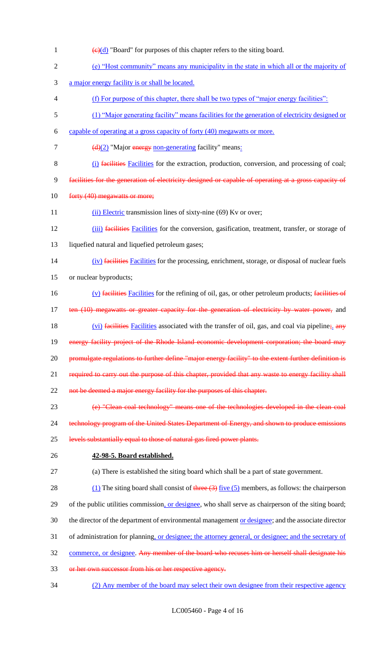- 1  $\left(\frac{e}{d}\right)$  "Board" for purposes of this chapter refers to the siting board.
- 2 (e) "Host community" means any municipality in the state in which all or the majority of
- 3 a major energy facility is or shall be located.
- 4 (f) For purpose of this chapter, there shall be two types of "major energy facilities":
- 5 (1) "Major generating facility" means facilities for the generation of electricity designed or
- 6 capable of operating at a gross capacity of forty (40) megawatts or more.
- 7  $(d)(2)$  "Major energy non-generating facility" means:
- 8 (i) facilities Facilities for the extraction, production, conversion, and processing of coal;
- 9 facilities for the generation of electricity designed or capable of operating at a gross capacity of
- 10 forty (40) megawatts or more;
- 11 (ii) Electric transmission lines of sixty-nine (69) Kv or over;
- 12 (iii) facilities Facilities for the conversion, gasification, treatment, transfer, or storage of
- 13 liquefied natural and liquefied petroleum gases;
- 14 (iv) facilities Facilities for the processing, enrichment, storage, or disposal of nuclear fuels
- 15 or nuclear byproducts;
- 16 (v) facilities Facilities for the refining of oil, gas, or other petroleum products; facilities of 17 ten (10) megawatts or greater capacity for the generation of electricity by water power, and 18 (vi) facilities Facilities associated with the transfer of oil, gas, and coal via pipeline;  $\frac{1}{2}$  any 19 energy facility project of the Rhode Island economic development corporation; the board may 20 promulgate regulations to further define "major energy facility" to the extent further definition is 21 required to carry out the purpose of this chapter, provided that any waste to energy facility shall 22 not be deemed a major energy facility for the purposes of this chapter.
- 23 (e) "Clean coal technology" means one of the technologies developed in the clean coal
- 24 technology program of the United States Department of Energy, and shown to produce emissions
- 25 levels substantially equal to those of natural gas fired power plants.
- 

# 26 **42-98-5. Board established.**

- 27 (a) There is established the siting board which shall be a part of state government.
- 28 (1) The siting board shall consist of three  $(3)$  five  $(5)$  members, as follows: the chairperson
- 29 of the public utilities commission, or designee, who shall serve as chairperson of the siting board;
- 30 the director of the department of environmental management or designee; and the associate director
- 31 of administration for planning, or designee; the attorney general, or designee; and the secretary of
- 32 commerce, or designee. Any member of the board who recuses him or herself shall designate his
- 33 or her own successor from his or her respective agency.
- 34 (2) Any member of the board may select their own designee from their respective agency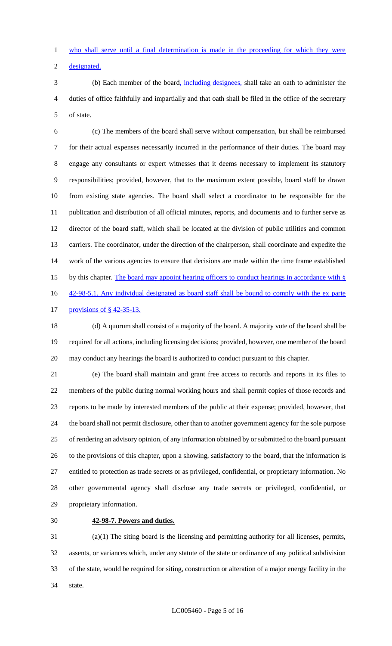who shall serve until a final determination is made in the proceeding for which they were

designated.

 (b) Each member of the board, including designees, shall take an oath to administer the duties of office faithfully and impartially and that oath shall be filed in the office of the secretary of state.

 (c) The members of the board shall serve without compensation, but shall be reimbursed for their actual expenses necessarily incurred in the performance of their duties. The board may engage any consultants or expert witnesses that it deems necessary to implement its statutory responsibilities; provided, however, that to the maximum extent possible, board staff be drawn from existing state agencies. The board shall select a coordinator to be responsible for the publication and distribution of all official minutes, reports, and documents and to further serve as director of the board staff, which shall be located at the division of public utilities and common carriers. The coordinator, under the direction of the chairperson, shall coordinate and expedite the work of the various agencies to ensure that decisions are made within the time frame established 15 by this chapter. The board may appoint hearing officers to conduct hearings in accordance with § 16 42-98-5.1. Any individual designated as board staff shall be bound to comply with the ex parte

provisions of § 42-35-13.

 (d) A quorum shall consist of a majority of the board. A majority vote of the board shall be required for all actions, including licensing decisions; provided, however, one member of the board may conduct any hearings the board is authorized to conduct pursuant to this chapter.

 (e) The board shall maintain and grant free access to records and reports in its files to members of the public during normal working hours and shall permit copies of those records and reports to be made by interested members of the public at their expense; provided, however, that the board shall not permit disclosure, other than to another government agency for the sole purpose of rendering an advisory opinion, of any information obtained by or submitted to the board pursuant to the provisions of this chapter, upon a showing, satisfactory to the board, that the information is entitled to protection as trade secrets or as privileged, confidential, or proprietary information. No other governmental agency shall disclose any trade secrets or privileged, confidential, or proprietary information.

# **42-98-7. Powers and duties.**

 (a)(1) The siting board is the licensing and permitting authority for all licenses, permits, assents, or variances which, under any statute of the state or ordinance of any political subdivision of the state, would be required for siting, construction or alteration of a major energy facility in the state.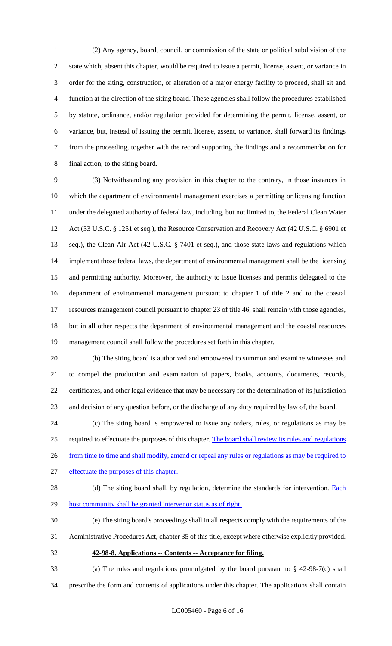(2) Any agency, board, council, or commission of the state or political subdivision of the state which, absent this chapter, would be required to issue a permit, license, assent, or variance in order for the siting, construction, or alteration of a major energy facility to proceed, shall sit and function at the direction of the siting board. These agencies shall follow the procedures established by statute, ordinance, and/or regulation provided for determining the permit, license, assent, or variance, but, instead of issuing the permit, license, assent, or variance, shall forward its findings from the proceeding, together with the record supporting the findings and a recommendation for final action, to the siting board.

 (3) Notwithstanding any provision in this chapter to the contrary, in those instances in which the department of environmental management exercises a permitting or licensing function under the delegated authority of federal law, including, but not limited to, the Federal Clean Water Act (33 U.S.C. § 1251 et seq.), the Resource Conservation and Recovery Act (42 U.S.C. § 6901 et seq.), the Clean Air Act (42 U.S.C. § 7401 et seq.), and those state laws and regulations which 14 implement those federal laws, the department of environmental management shall be the licensing and permitting authority. Moreover, the authority to issue licenses and permits delegated to the department of environmental management pursuant to chapter 1 of title 2 and to the coastal resources management council pursuant to chapter 23 of title 46, shall remain with those agencies, but in all other respects the department of environmental management and the coastal resources management council shall follow the procedures set forth in this chapter.

 (b) The siting board is authorized and empowered to summon and examine witnesses and to compel the production and examination of papers, books, accounts, documents, records, certificates, and other legal evidence that may be necessary for the determination of its jurisdiction and decision of any question before, or the discharge of any duty required by law of, the board.

 (c) The siting board is empowered to issue any orders, rules, or regulations as may be required to effectuate the purposes of this chapter. The board shall review its rules and regulations 26 from time to time and shall modify, amend or repeal any rules or regulations as may be required to

- effectuate the purposes of this chapter.
- 

28 (d) The siting board shall, by regulation, determine the standards for intervention. Each 29 host community shall be granted intervenor status as of right.

(e) The siting board's proceedings shall in all respects comply with the requirements of the

Administrative Procedures Act, chapter 35 of this title, except where otherwise explicitly provided.

**42-98-8. Applications -- Contents -- Acceptance for filing.**

 (a) The rules and regulations promulgated by the board pursuant to § 42-98-7(c) shall prescribe the form and contents of applications under this chapter. The applications shall contain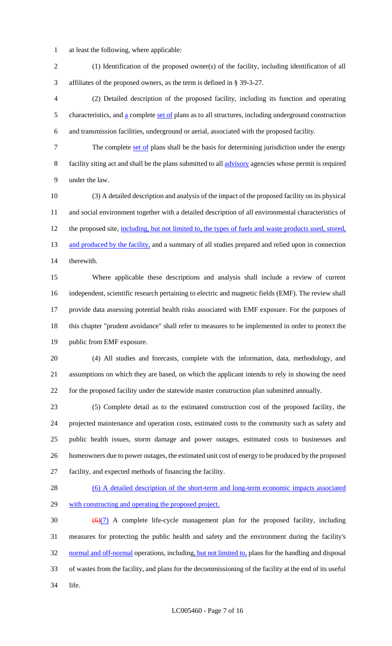- at least the following, where applicable:
- (1) Identification of the proposed owner(s) of the facility, including identification of all affiliates of the proposed owners, as the term is defined in § 39-3-27.

 (2) Detailed description of the proposed facility, including its function and operating 5 characteristics, and  $\underline{a}$  complete set of plans as to all structures, including underground construction and transmission facilities, underground or aerial, associated with the proposed facility.

7 The complete set of plans shall be the basis for determining jurisdiction under the energy facility siting act and shall be the plans submitted to all advisory agencies whose permit is required under the law.

 (3) A detailed description and analysis of the impact of the proposed facility on its physical and social environment together with a detailed description of all environmental characteristics of 12 the proposed site, including, but not limited to, the types of fuels and waste products used, stored, 13 and produced by the facility, and a summary of all studies prepared and relied upon in connection therewith.

 Where applicable these descriptions and analysis shall include a review of current independent, scientific research pertaining to electric and magnetic fields (EMF). The review shall provide data assessing potential health risks associated with EMF exposure. For the purposes of this chapter "prudent avoidance" shall refer to measures to be implemented in order to protect the public from EMF exposure.

 (4) All studies and forecasts, complete with the information, data, methodology, and assumptions on which they are based, on which the applicant intends to rely in showing the need for the proposed facility under the statewide master construction plan submitted annually.

 (5) Complete detail as to the estimated construction cost of the proposed facility, the projected maintenance and operation costs, estimated costs to the community such as safety and public health issues, storm damage and power outages, estimated costs to businesses and homeowners due to power outages, the estimated unit cost of energy to be produced by the proposed facility, and expected methods of financing the facility.

28 (6) A detailed description of the short-term and long-term economic impacts associated with constructing and operating the proposed project.

30  $\left(\frac{6}{7}\right)$  A complete life-cycle management plan for the proposed facility, including measures for protecting the public health and safety and the environment during the facility's 32 normal and off-normal operations, including, but not limited to, plans for the handling and disposal of wastes from the facility, and plans for the decommissioning of the facility at the end of its useful life.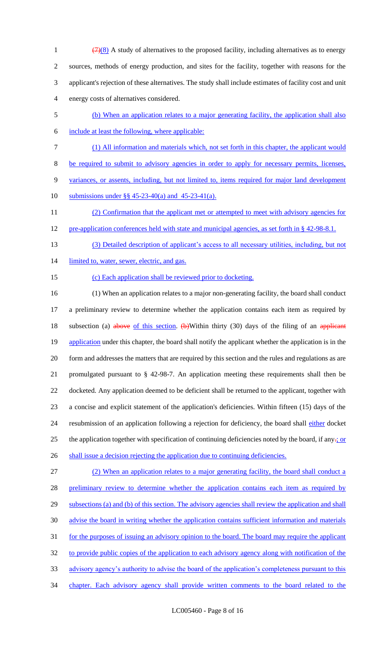$\left(\frac{7}{8}\right)$  A study of alternatives to the proposed facility, including alternatives as to energy sources, methods of energy production, and sites for the facility, together with reasons for the applicant's rejection of these alternatives. The study shall include estimates of facility cost and unit energy costs of alternatives considered.

- 5 (b) When an application relates to a major generating facility, the application shall also
- 

6 include at least the following, where applicable:

7 (1) All information and materials which, not set forth in this chapter, the applicant would

8 be required to submit to advisory agencies in order to apply for necessary permits, licenses,

9 variances, or assents, including, but not limited to, items required for major land development

10 submissions under §§ 45-23-40(a) and 45-23-41(a).

11 (2) Confirmation that the applicant met or attempted to meet with advisory agencies for 12 pre-application conferences held with state and municipal agencies, as set forth in § 42-98-8.1.

- 13 (3) Detailed description of applicant's access to all necessary utilities, including, but not
- 14 limited to, water, sewer, electric, and gas.
- 

### 15 (c) Each application shall be reviewed prior to docketing.

16 (1) When an application relates to a major non-generating facility, the board shall conduct 17 a preliminary review to determine whether the application contains each item as required by 18 subsection (a) above of this section. (b) Within thirty (30) days of the filing of an applicant 19 application under this chapter, the board shall notify the applicant whether the application is in the 20 form and addresses the matters that are required by this section and the rules and regulations as are 21 promulgated pursuant to § 42-98-7. An application meeting these requirements shall then be 22 docketed. Any application deemed to be deficient shall be returned to the applicant, together with 23 a concise and explicit statement of the application's deficiencies. Within fifteen (15) days of the 24 resubmission of an application following a rejection for deficiency, the board shall either docket 25 the application together with specification of continuing deficiencies noted by the board, if any $\div$  or

26 shall issue a decision rejecting the application due to continuing deficiencies.

 (2) When an application relates to a major generating facility, the board shall conduct a 28 preliminary review to determine whether the application contains each item as required by 29 subsections (a) and (b) of this section. The advisory agencies shall review the application and shall advise the board in writing whether the application contains sufficient information and materials for the purposes of issuing an advisory opinion to the board. The board may require the applicant to provide public copies of the application to each advisory agency along with notification of the advisory agency's authority to advise the board of the application's completeness pursuant to this 34 chapter. Each advisory agency shall provide written comments to the board related to the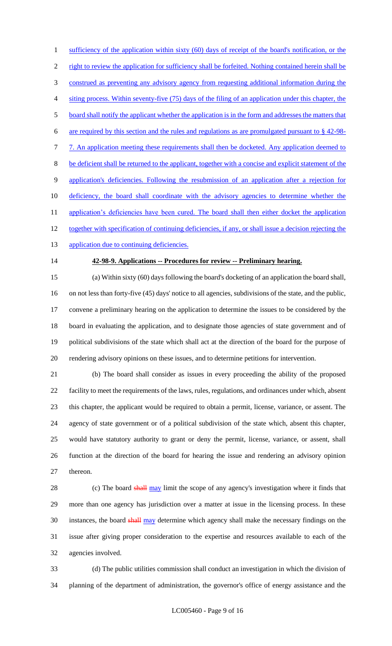1 sufficiency of the application within sixty (60) days of receipt of the board's notification, or the right to review the application for sufficiency shall be forfeited. Nothing contained herein shall be construed as preventing any advisory agency from requesting additional information during the siting process. Within seventy-five (75) days of the filing of an application under this chapter, the board shall notify the applicant whether the application is in the form and addresses the matters that are required by this section and the rules and regulations as are promulgated pursuant to § 42-98- 7 7. An application meeting these requirements shall then be docketed. Any application deemed to be deficient shall be returned to the applicant, together with a concise and explicit statement of the application's deficiencies. Following the resubmission of an application after a rejection for 10 deficiency, the board shall coordinate with the advisory agencies to determine whether the 11 application's deficiencies have been cured. The board shall then either docket the application 12 together with specification of continuing deficiencies, if any, or shall issue a decision rejecting the

13 application due to continuing deficiencies.

#### **42-98-9. Applications -- Procedures for review -- Preliminary hearing.**

 (a) Within sixty (60) days following the board's docketing of an application the board shall, on not less than forty-five (45) days' notice to all agencies, subdivisions of the state, and the public, convene a preliminary hearing on the application to determine the issues to be considered by the board in evaluating the application, and to designate those agencies of state government and of political subdivisions of the state which shall act at the direction of the board for the purpose of rendering advisory opinions on these issues, and to determine petitions for intervention.

 (b) The board shall consider as issues in every proceeding the ability of the proposed facility to meet the requirements of the laws, rules, regulations, and ordinances under which, absent this chapter, the applicant would be required to obtain a permit, license, variance, or assent. The agency of state government or of a political subdivision of the state which, absent this chapter, would have statutory authority to grant or deny the permit, license, variance, or assent, shall function at the direction of the board for hearing the issue and rendering an advisory opinion thereon.

28 (c) The board shall may limit the scope of any agency's investigation where it finds that more than one agency has jurisdiction over a matter at issue in the licensing process. In these 30 instances, the board shall may determine which agency shall make the necessary findings on the issue after giving proper consideration to the expertise and resources available to each of the agencies involved.

 (d) The public utilities commission shall conduct an investigation in which the division of planning of the department of administration, the governor's office of energy assistance and the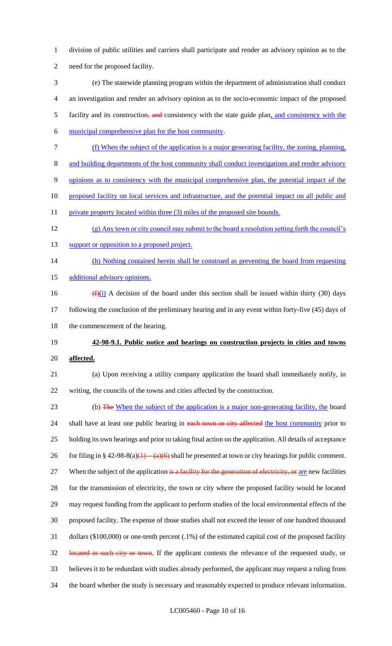- division of public utilities and carriers shall participate and render an advisory opinion as to the need for the proposed facility.
- (e) The statewide planning program within the department of administration shall conduct an investigation and render an advisory opinion as to the socio-economic impact of the proposed 5 facility and its construction, and consistency with the state guide plan, and consistency with the
- municipal comprehensive plan for the host community.
- (f) When the subject of the application is a major generating facility, the zoning, planning,
- and building departments of the host community shall conduct investigations and render advisory
- opinions as to consistency with the municipal comprehensive plan, the potential impact of the
- proposed facility on local services and infrastructure, and the potential impact on all public and
- 11 private property located within three (3) miles of the proposed site bounds.
- (g) Any town or city council may submit to the board a resolution setting forth the council's
- 13 support or opposition to a proposed project.
- (h) Nothing contained herein shall be construed as preventing the board from requesting
- 15 additional advisory opinions.
- 16  $(f)(i)$  A decision of the board under this section shall be issued within thirty (30) days following the conclusion of the preliminary hearing and in any event within forty-five (45) days of 18 the commencement of the hearing.
- **42-98-9.1. Public notice and hearings on construction projects in cities and towns affected.**
- (a) Upon receiving a utility company application the board shall immediately notify, in writing, the councils of the towns and cities affected by the construction.
- 23 (b) The When the subject of the application is a major non-generating facility, the board 24 shall have at least one public hearing in each town or city affected the host community prior to holding its own hearings and prior to taking final action on the application. All details of acceptance 26 for filing in § 42-98-8(a)(1)  $-(a)(6)$  shall be presented at town or city hearings for public comment. 27 When the subject of the application is a facility for the generation of electricity, or are new facilities for the transmission of electricity, the town or city where the proposed facility would be located may request funding from the applicant to perform studies of the local environmental effects of the proposed facility. The expense of those studies shall not exceed the lesser of one hundred thousand dollars (\$100,000) or one-tenth percent (.1%) of the estimated capital cost of the proposed facility 32 located in such city or town. If the applicant contests the relevance of the requested study, or believes it to be redundant with studies already performed, the applicant may request a ruling from the board whether the study is necessary and reasonably expected to produce relevant information.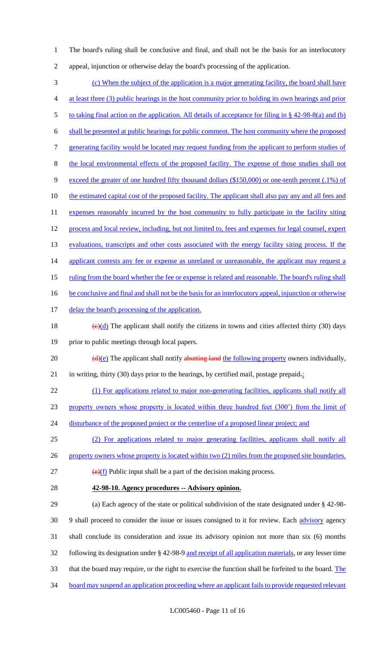1 The board's ruling shall be conclusive and final, and shall not be the basis for an interlocutory 2 appeal, injunction or otherwise delay the board's processing of the application.

3 (c) When the subject of the application is a major generating facility, the board shall have 4 at least three (3) public hearings in the host community prior to holding its own hearings and prior 5 to taking final action on the application. All details of acceptance for filing in § 42-98-8(a) and (b) 6 shall be presented at public hearings for public comment. The host community where the proposed 7 generating facility would be located may request funding from the applicant to perform studies of 8 the local environmental effects of the proposed facility. The expense of those studies shall not 9 exceed the greater of one hundred fifty thousand dollars (\$150,000) or one-tenth percent (.1%) of 10 the estimated capital cost of the proposed facility. The applicant shall also pay any and all fees and 11 expenses reasonably incurred by the host community to fully participate in the facility siting 12 process and local review, including, but not limited to, fees and expenses for legal counsel, expert 13 evaluations, transcripts and other costs associated with the energy facility siting process. If the 14 applicant contests any fee or expense as unrelated or unreasonable, the applicant may request a 15 ruling from the board whether the fee or expense is related and reasonable. The board's ruling shall 16 be conclusive and final and shall not be the basis for an interlocutory appeal, injunction or otherwise 17 delay the board's processing of the application. 18 (e)(d) The applicant shall notify the citizens in towns and cities affected thirty (30) days 19 prior to public meetings through local papers. 20  $\left(\frac{d}{e}\right)$  The applicant shall notify abutting land the following property owners individually, 21 in writing, thirty (30) days prior to the hearings, by certified mail, postage prepaid $\frac{1}{2}$ 22 (1) For applications related to major non-generating facilities, applicants shall notify all 23 property owners whose property is located within three hundred feet (300') from the limit of 24 disturbance of the proposed project or the centerline of a proposed linear project; and 25 (2) For applications related to major generating facilities, applicants shall notify all 26 property owners whose property is located within two (2) miles from the proposed site boundaries.  $\left(\frac{e}{f}\right)$  Public input shall be a part of the decision making process. 28 **42-98-10. Agency procedures -- Advisory opinion.** 29 (a) Each agency of the state or political subdivision of the state designated under § 42-98- 30 9 shall proceed to consider the issue or issues consigned to it for review. Each advisory agency 31 shall conclude its consideration and issue its advisory opinion not more than six (6) months 32 following its designation under § 42-98-9 and receipt of all application materials, or any lesser time 33 that the board may require, or the right to exercise the function shall be forfeited to the board. The

34 board may suspend an application proceeding where an applicant fails to provide requested relevant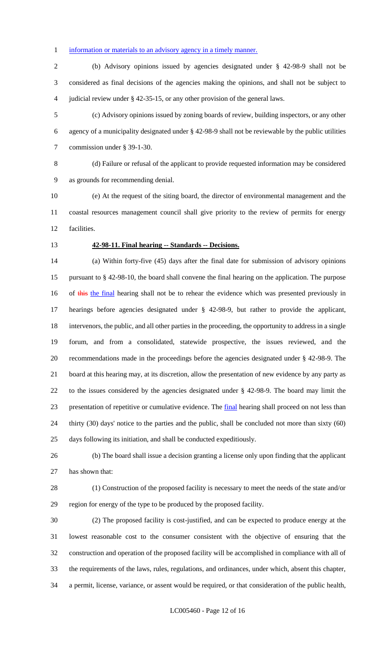#### 1 information or materials to an advisory agency in a timely manner.

 (b) Advisory opinions issued by agencies designated under § 42-98-9 shall not be considered as final decisions of the agencies making the opinions, and shall not be subject to judicial review under § 42-35-15, or any other provision of the general laws.

 (c) Advisory opinions issued by zoning boards of review, building inspectors, or any other agency of a municipality designated under § 42-98-9 shall not be reviewable by the public utilities commission under § 39-1-30.

 (d) Failure or refusal of the applicant to provide requested information may be considered as grounds for recommending denial.

 (e) At the request of the siting board, the director of environmental management and the coastal resources management council shall give priority to the review of permits for energy facilities.

#### **42-98-11. Final hearing -- Standards -- Decisions.**

 (a) Within forty-five (45) days after the final date for submission of advisory opinions pursuant to § 42-98-10, the board shall convene the final hearing on the application. The purpose 16 of this the final hearing shall not be to rehear the evidence which was presented previously in hearings before agencies designated under § 42-98-9, but rather to provide the applicant, intervenors, the public, and all other parties in the proceeding, the opportunity to address in a single forum, and from a consolidated, statewide prospective, the issues reviewed, and the recommendations made in the proceedings before the agencies designated under § 42-98-9. The board at this hearing may, at its discretion, allow the presentation of new evidence by any party as to the issues considered by the agencies designated under § 42-98-9. The board may limit the presentation of repetitive or cumulative evidence. The final hearing shall proceed on not less than thirty (30) days' notice to the parties and the public, shall be concluded not more than sixty (60) days following its initiation, and shall be conducted expeditiously.

 (b) The board shall issue a decision granting a license only upon finding that the applicant has shown that:

 (1) Construction of the proposed facility is necessary to meet the needs of the state and/or region for energy of the type to be produced by the proposed facility.

 (2) The proposed facility is cost-justified, and can be expected to produce energy at the lowest reasonable cost to the consumer consistent with the objective of ensuring that the construction and operation of the proposed facility will be accomplished in compliance with all of the requirements of the laws, rules, regulations, and ordinances, under which, absent this chapter, a permit, license, variance, or assent would be required, or that consideration of the public health,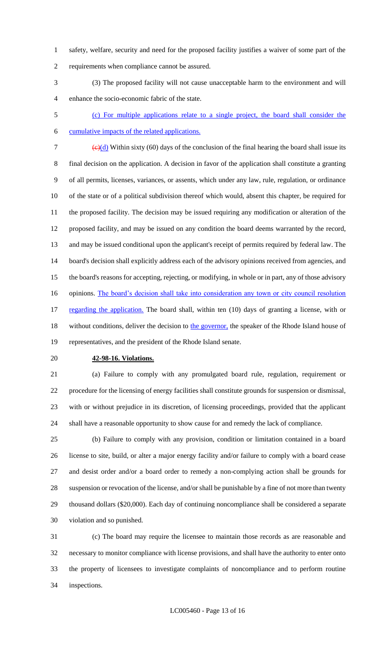- safety, welfare, security and need for the proposed facility justifies a waiver of some part of the requirements when compliance cannot be assured.
- (3) The proposed facility will not cause unacceptable harm to the environment and will enhance the socio-economic fabric of the state.
- 

 (c) For multiple applications relate to a single project, the board shall consider the cumulative impacts of the related applications.

7  $\left(\frac{c}{d}\right)$  Within sixty (60) days of the conclusion of the final hearing the board shall issue its

 final decision on the application. A decision in favor of the application shall constitute a granting of all permits, licenses, variances, or assents, which under any law, rule, regulation, or ordinance of the state or of a political subdivision thereof which would, absent this chapter, be required for the proposed facility. The decision may be issued requiring any modification or alteration of the proposed facility, and may be issued on any condition the board deems warranted by the record, and may be issued conditional upon the applicant's receipt of permits required by federal law. The board's decision shall explicitly address each of the advisory opinions received from agencies, and the board's reasons for accepting, rejecting, or modifying, in whole or in part, any of those advisory 16 opinions. The board's decision shall take into consideration any town or city council resolution 17 regarding the application. The board shall, within ten (10) days of granting a license, with or 18 without conditions, deliver the decision to the governor, the speaker of the Rhode Island house of

representatives, and the president of the Rhode Island senate.

#### **42-98-16. Violations.**

 (a) Failure to comply with any promulgated board rule, regulation, requirement or procedure for the licensing of energy facilities shall constitute grounds for suspension or dismissal, with or without prejudice in its discretion, of licensing proceedings, provided that the applicant shall have a reasonable opportunity to show cause for and remedy the lack of compliance.

 (b) Failure to comply with any provision, condition or limitation contained in a board license to site, build, or alter a major energy facility and/or failure to comply with a board cease and desist order and/or a board order to remedy a non-complying action shall be grounds for suspension or revocation of the license, and/or shall be punishable by a fine of not more than twenty thousand dollars (\$20,000). Each day of continuing noncompliance shall be considered a separate violation and so punished.

 (c) The board may require the licensee to maintain those records as are reasonable and necessary to monitor compliance with license provisions, and shall have the authority to enter onto the property of licensees to investigate complaints of noncompliance and to perform routine inspections.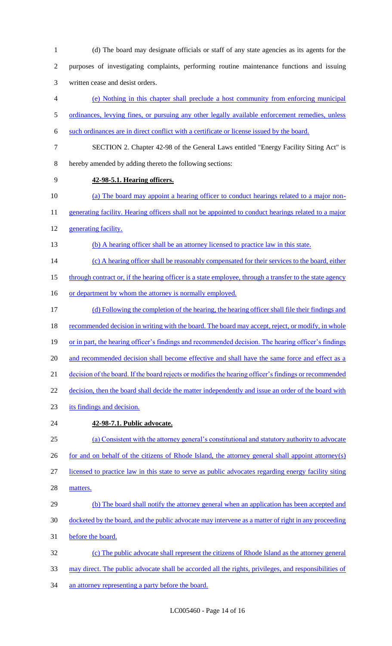(d) The board may designate officials or staff of any state agencies as its agents for the purposes of investigating complaints, performing routine maintenance functions and issuing written cease and desist orders. (e) Nothing in this chapter shall preclude a host community from enforcing municipal 5 ordinances, levying fines, or pursuing any other legally available enforcement remedies, unless such ordinances are in direct conflict with a certificate or license issued by the board. SECTION 2. Chapter 42-98 of the General Laws entitled "Energy Facility Siting Act" is hereby amended by adding thereto the following sections: **42-98-5.1. Hearing officers.**  (a) The board may appoint a hearing officer to conduct hearings related to a major non-11 generating facility. Hearing officers shall not be appointed to conduct hearings related to a major generating facility. (b) A hearing officer shall be an attorney licensed to practice law in this state. 14 (c) A hearing officer shall be reasonably compensated for their services to the board, either 15 through contract or, if the hearing officer is a state employee, through a transfer to the state agency 16 or department by whom the attorney is normally employed. (d) Following the completion of the hearing, the hearing officer shall file their findings and 18 recommended decision in writing with the board. The board may accept, reject, or modify, in whole 19 or in part, the hearing officer's findings and recommended decision. The hearing officer's findings 20 and recommended decision shall become effective and shall have the same force and effect as a decision of the board. If the board rejects or modifies the hearing officer's findings or recommended 22 decision, then the board shall decide the matter independently and issue an order of the board with its findings and decision. **42-98-7.1. Public advocate.**  (a) Consistent with the attorney general's constitutional and statutory authority to advocate for and on behalf of the citizens of Rhode Island, the attorney general shall appoint attorney(s) licensed to practice law in this state to serve as public advocates regarding energy facility siting matters. 29 (b) The board shall notify the attorney general when an application has been accepted and docketed by the board, and the public advocate may intervene as a matter of right in any proceeding before the board. (c) The public advocate shall represent the citizens of Rhode Island as the attorney general may direct. The public advocate shall be accorded all the rights, privileges, and responsibilities of

34 an attorney representing a party before the board.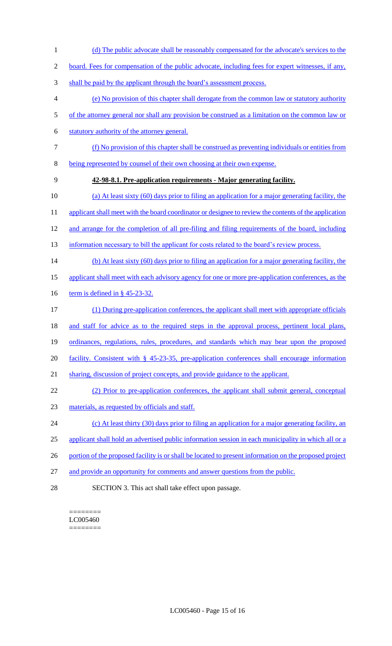1 (d) The public advocate shall be reasonably compensated for the advocate's services to the

2 board. Fees for compensation of the public advocate, including fees for expert witnesses, if any,

- 3 shall be paid by the applicant through the board's assessment process.
- 4 (e) No provision of this chapter shall derogate from the common law or statutory authority
- 5 of the attorney general nor shall any provision be construed as a limitation on the common law or
- 6 statutory authority of the attorney general.
- 7 (f) No provision of this chapter shall be construed as preventing individuals or entities from
- 8 being represented by counsel of their own choosing at their own expense.
- 9 **42-98-8.1. Pre-application requirements - Major generating facility.**
- 10 (a) At least sixty (60) days prior to filing an application for a major generating facility, the
- 11 applicant shall meet with the board coordinator or designee to review the contents of the application
- 12 and arrange for the completion of all pre-filing and filing requirements of the board, including
- 13 information necessary to bill the applicant for costs related to the board's review process.
- 14 (b) At least sixty (60) days prior to filing an application for a major generating facility, the
- 15 applicant shall meet with each advisory agency for one or more pre-application conferences, as the
- 16 term is defined in § 45-23-32.
- 17 (1) During pre-application conferences, the applicant shall meet with appropriate officials
- 18 and staff for advice as to the required steps in the approval process, pertinent local plans,
- 19 ordinances, regulations, rules, procedures, and standards which may bear upon the proposed
- 20 facility. Consistent with § 45-23-35, pre-application conferences shall encourage information
- 21 sharing, discussion of project concepts, and provide guidance to the applicant.
- 22 (2) Prior to pre-application conferences, the applicant shall submit general, conceptual
- 23 materials, as requested by officials and staff.
- 24 (c) At least thirty (30) days prior to filing an application for a major generating facility, an
- 25 applicant shall hold an advertised public information session in each municipality in which all or a
- 26 portion of the proposed facility is or shall be located to present information on the proposed project
- 27 and provide an opportunity for comments and answer questions from the public.
- 28 SECTION 3. This act shall take effect upon passage.

======== LC005460 ========